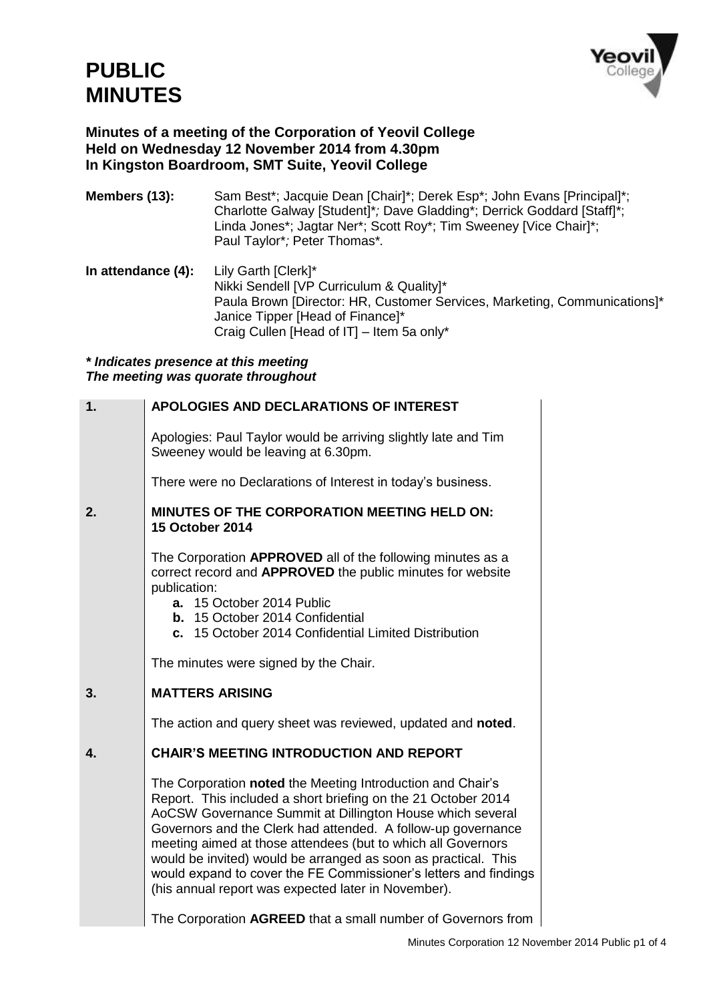

## **Minutes of a meeting of the Corporation of Yeovil College Held on Wednesday 12 November 2014 from 4.30pm In Kingston Boardroom, SMT Suite, Yeovil College**

- **Members (13):** Sam Best\*; Jacquie Dean [Chair]\*; Derek Esp\*; John Evans [Principal]\*; Charlotte Galway [Student]\**;* Dave Gladding\*; Derrick Goddard [Staff]\*; Linda Jones\*; Jagtar Ner\*; Scott Roy\*; Tim Sweeney [Vice Chair]\*; Paul Taylor\**;* Peter Thomas\**.*
- **In attendance (4):** Lily Garth [Clerk]\* Nikki Sendell [VP Curriculum & Quality]\* Paula Brown [Director: HR, Customer Services, Marketing, Communications]\* Janice Tipper [Head of Finance]\* Craig Cullen [Head of IT] – Item 5a only\*

## *\* Indicates presence at this meeting The meeting was quorate throughout*

| 1. | APOLOGIES AND DECLARATIONS OF INTEREST                                                                                                                                                                                                                                                                                                                                                                                                                                                                                |
|----|-----------------------------------------------------------------------------------------------------------------------------------------------------------------------------------------------------------------------------------------------------------------------------------------------------------------------------------------------------------------------------------------------------------------------------------------------------------------------------------------------------------------------|
|    | Apologies: Paul Taylor would be arriving slightly late and Tim<br>Sweeney would be leaving at 6.30pm.                                                                                                                                                                                                                                                                                                                                                                                                                 |
|    | There were no Declarations of Interest in today's business.                                                                                                                                                                                                                                                                                                                                                                                                                                                           |
| 2. | MINUTES OF THE CORPORATION MEETING HELD ON:<br><b>15 October 2014</b>                                                                                                                                                                                                                                                                                                                                                                                                                                                 |
|    | The Corporation APPROVED all of the following minutes as a<br>correct record and APPROVED the public minutes for website<br>publication:<br>a. 15 October 2014 Public<br><b>b.</b> 15 October 2014 Confidential<br>c. 15 October 2014 Confidential Limited Distribution                                                                                                                                                                                                                                               |
|    | The minutes were signed by the Chair.                                                                                                                                                                                                                                                                                                                                                                                                                                                                                 |
| 3. | <b>MATTERS ARISING</b>                                                                                                                                                                                                                                                                                                                                                                                                                                                                                                |
|    | The action and query sheet was reviewed, updated and noted.                                                                                                                                                                                                                                                                                                                                                                                                                                                           |
| 4. | <b>CHAIR'S MEETING INTRODUCTION AND REPORT</b>                                                                                                                                                                                                                                                                                                                                                                                                                                                                        |
|    | The Corporation noted the Meeting Introduction and Chair's<br>Report. This included a short briefing on the 21 October 2014<br>AoCSW Governance Summit at Dillington House which several<br>Governors and the Clerk had attended. A follow-up governance<br>meeting aimed at those attendees (but to which all Governors<br>would be invited) would be arranged as soon as practical. This<br>would expand to cover the FE Commissioner's letters and findings<br>(his annual report was expected later in November). |
|    | The Corporation AGREED that a small number of Governors from                                                                                                                                                                                                                                                                                                                                                                                                                                                          |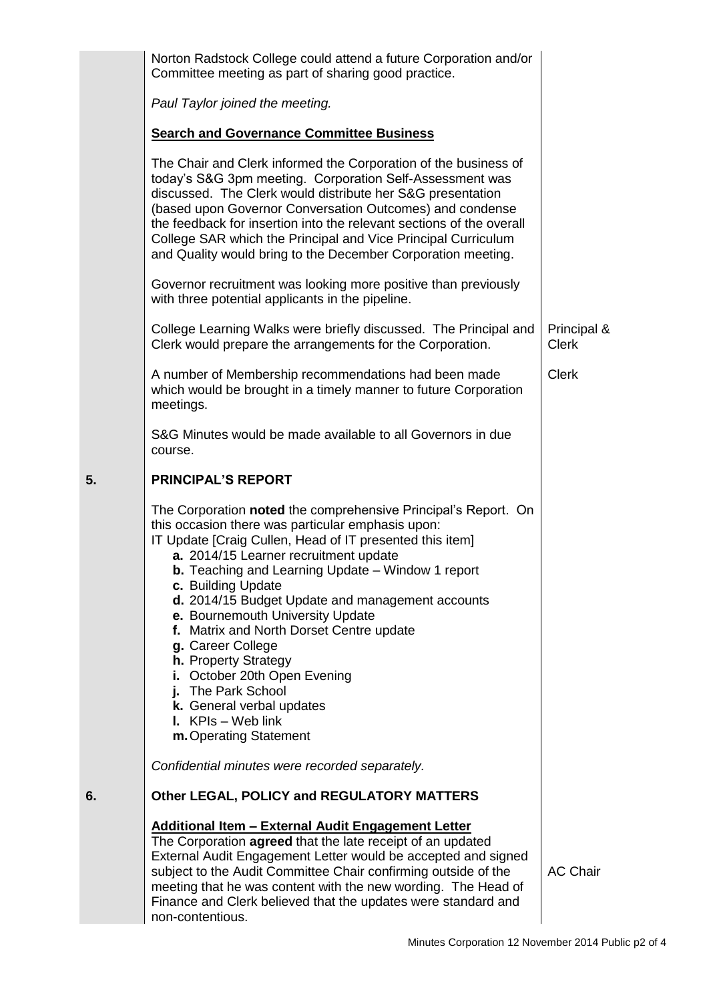|    | Norton Radstock College could attend a future Corporation and/or<br>Committee meeting as part of sharing good practice.                                                                                                                                                                                                                                                                                                                                                                                                                                                                                                          |                             |
|----|----------------------------------------------------------------------------------------------------------------------------------------------------------------------------------------------------------------------------------------------------------------------------------------------------------------------------------------------------------------------------------------------------------------------------------------------------------------------------------------------------------------------------------------------------------------------------------------------------------------------------------|-----------------------------|
|    | Paul Taylor joined the meeting.                                                                                                                                                                                                                                                                                                                                                                                                                                                                                                                                                                                                  |                             |
|    | <b>Search and Governance Committee Business</b>                                                                                                                                                                                                                                                                                                                                                                                                                                                                                                                                                                                  |                             |
|    | The Chair and Clerk informed the Corporation of the business of<br>today's S&G 3pm meeting. Corporation Self-Assessment was<br>discussed. The Clerk would distribute her S&G presentation<br>(based upon Governor Conversation Outcomes) and condense<br>the feedback for insertion into the relevant sections of the overall<br>College SAR which the Principal and Vice Principal Curriculum<br>and Quality would bring to the December Corporation meeting.                                                                                                                                                                   |                             |
|    | Governor recruitment was looking more positive than previously<br>with three potential applicants in the pipeline.                                                                                                                                                                                                                                                                                                                                                                                                                                                                                                               |                             |
|    | College Learning Walks were briefly discussed. The Principal and<br>Clerk would prepare the arrangements for the Corporation.                                                                                                                                                                                                                                                                                                                                                                                                                                                                                                    | Principal &<br><b>Clerk</b> |
|    | A number of Membership recommendations had been made<br>which would be brought in a timely manner to future Corporation<br>meetings.                                                                                                                                                                                                                                                                                                                                                                                                                                                                                             | <b>Clerk</b>                |
|    | S&G Minutes would be made available to all Governors in due<br>course.                                                                                                                                                                                                                                                                                                                                                                                                                                                                                                                                                           |                             |
| 5. | <b>PRINCIPAL'S REPORT</b>                                                                                                                                                                                                                                                                                                                                                                                                                                                                                                                                                                                                        |                             |
|    | The Corporation noted the comprehensive Principal's Report. On<br>this occasion there was particular emphasis upon:<br>IT Update [Craig Cullen, Head of IT presented this item]<br>a. 2014/15 Learner recruitment update<br><b>b.</b> Teaching and Learning Update - Window 1 report<br>c. Building Update<br>d. 2014/15 Budget Update and management accounts<br>e. Bournemouth University Update<br>f. Matrix and North Dorset Centre update<br>g. Career College<br>h. Property Strategy<br>i. October 20th Open Evening<br>j. The Park School<br>k. General verbal updates<br>I. $KPIs - Web link$<br>m. Operating Statement |                             |
|    | Confidential minutes were recorded separately.                                                                                                                                                                                                                                                                                                                                                                                                                                                                                                                                                                                   |                             |
| 6. | Other LEGAL, POLICY and REGULATORY MATTERS                                                                                                                                                                                                                                                                                                                                                                                                                                                                                                                                                                                       |                             |
|    | <b>Additional Item - External Audit Engagement Letter</b><br>The Corporation agreed that the late receipt of an updated<br>External Audit Engagement Letter would be accepted and signed<br>subject to the Audit Committee Chair confirming outside of the<br>meeting that he was content with the new wording. The Head of<br>Finance and Clerk believed that the updates were standard and                                                                                                                                                                                                                                     | <b>AC Chair</b>             |

non-contentious.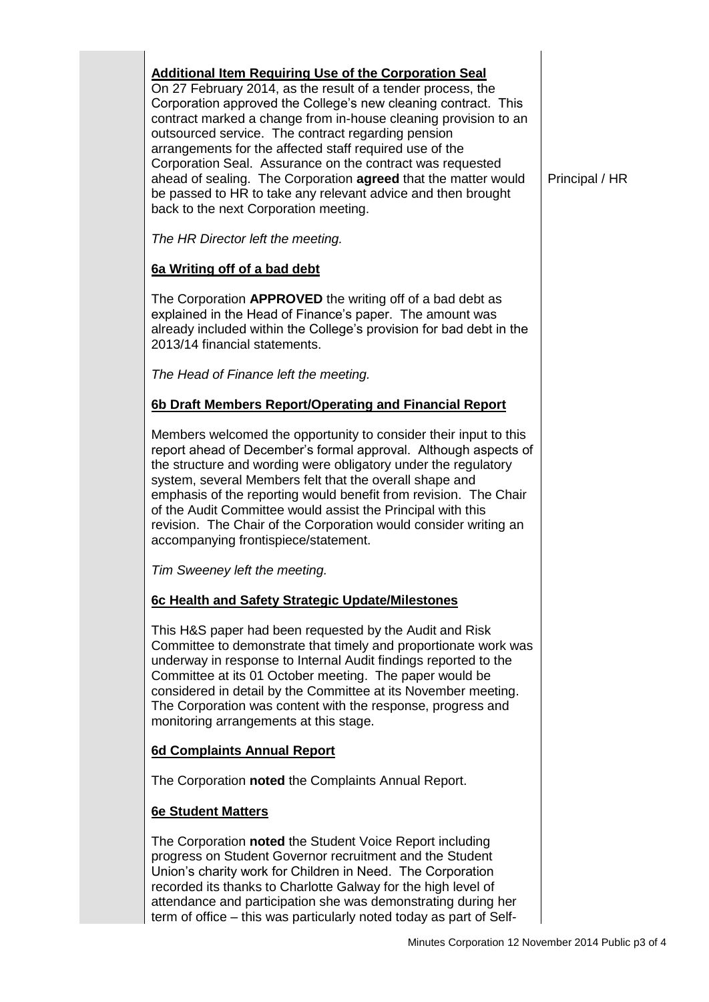| <b>Additional Item Requiring Use of the Corporation Seal</b><br>On 27 February 2014, as the result of a tender process, the<br>Corporation approved the College's new cleaning contract. This<br>contract marked a change from in-house cleaning provision to an<br>outsourced service. The contract regarding pension<br>arrangements for the affected staff required use of the<br>Corporation Seal. Assurance on the contract was requested<br>ahead of sealing. The Corporation agreed that the matter would<br>be passed to HR to take any relevant advice and then brought<br>back to the next Corporation meeting. | Principal / HR |
|---------------------------------------------------------------------------------------------------------------------------------------------------------------------------------------------------------------------------------------------------------------------------------------------------------------------------------------------------------------------------------------------------------------------------------------------------------------------------------------------------------------------------------------------------------------------------------------------------------------------------|----------------|
| The HR Director left the meeting.                                                                                                                                                                                                                                                                                                                                                                                                                                                                                                                                                                                         |                |
| 6a Writing off of a bad debt                                                                                                                                                                                                                                                                                                                                                                                                                                                                                                                                                                                              |                |
| The Corporation <b>APPROVED</b> the writing off of a bad debt as<br>explained in the Head of Finance's paper. The amount was<br>already included within the College's provision for bad debt in the<br>2013/14 financial statements.                                                                                                                                                                                                                                                                                                                                                                                      |                |
| The Head of Finance left the meeting.                                                                                                                                                                                                                                                                                                                                                                                                                                                                                                                                                                                     |                |
| 6b Draft Members Report/Operating and Financial Report                                                                                                                                                                                                                                                                                                                                                                                                                                                                                                                                                                    |                |
| Members welcomed the opportunity to consider their input to this<br>report ahead of December's formal approval. Although aspects of<br>the structure and wording were obligatory under the regulatory<br>system, several Members felt that the overall shape and<br>emphasis of the reporting would benefit from revision. The Chair<br>of the Audit Committee would assist the Principal with this<br>revision. The Chair of the Corporation would consider writing an<br>accompanying frontispiece/statement.                                                                                                           |                |
| Tim Sweeney left the meeting.                                                                                                                                                                                                                                                                                                                                                                                                                                                                                                                                                                                             |                |
| 6c Health and Safety Strategic Update/Milestones                                                                                                                                                                                                                                                                                                                                                                                                                                                                                                                                                                          |                |
| This H&S paper had been requested by the Audit and Risk<br>Committee to demonstrate that timely and proportionate work was<br>underway in response to Internal Audit findings reported to the<br>Committee at its 01 October meeting. The paper would be<br>considered in detail by the Committee at its November meeting.<br>The Corporation was content with the response, progress and<br>monitoring arrangements at this stage.                                                                                                                                                                                       |                |
| 6d Complaints Annual Report                                                                                                                                                                                                                                                                                                                                                                                                                                                                                                                                                                                               |                |
| The Corporation noted the Complaints Annual Report.                                                                                                                                                                                                                                                                                                                                                                                                                                                                                                                                                                       |                |
| <b>6e Student Matters</b>                                                                                                                                                                                                                                                                                                                                                                                                                                                                                                                                                                                                 |                |
| The Corporation noted the Student Voice Report including<br>progress on Student Governor recruitment and the Student<br>Union's charity work for Children in Need. The Corporation<br>recorded its thanks to Charlotte Galway for the high level of<br>attendance and participation she was demonstrating during her<br>term of office – this was particularly noted today as part of Self-                                                                                                                                                                                                                               |                |